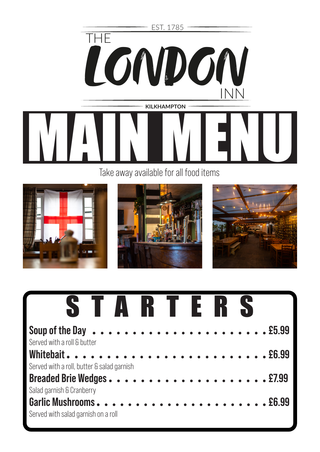



| STARTERS                                   |  |  |  |  |
|--------------------------------------------|--|--|--|--|
| Served with a roll & butter                |  |  |  |  |
| Served with a roll, butter & salad garnish |  |  |  |  |
|                                            |  |  |  |  |
| Salad garnish & Cranberry                  |  |  |  |  |
| Served with salad garnish on a roll        |  |  |  |  |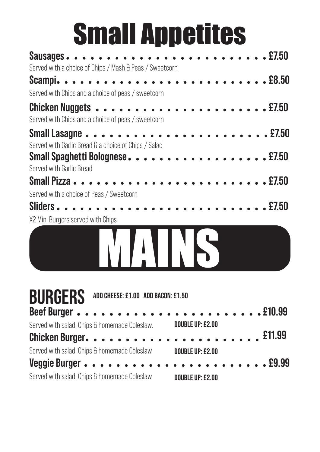# Small Appetites

| Served with a choice of Chips / Mash & Peas / Sweetcorn     |                                                                |
|-------------------------------------------------------------|----------------------------------------------------------------|
| Served with Chips and a choice of peas / sweetcorn          |                                                                |
| Served with Chips and a choice of peas / sweetcorn          |                                                                |
| Served with Garlic Bread & a choice of Chips / Salad        |                                                                |
| Small Spaghetti Bolognese. 2750<br>Served with Garlic Bread |                                                                |
|                                                             |                                                                |
| Served with a choice of Peas / Sweetcorn                    |                                                                |
| X2 Mini Burgers served with Chips                           |                                                                |
| WAINS                                                       |                                                                |
| <b>BURGERS</b><br>ADD CHEESE: £1.00 ADD BACON: £1.50        |                                                                |
|                                                             |                                                                |
| Served with salad, Chips & homemade Coleslaw.               | <b>DOUBLE UP: £2.00</b>                                        |
| Chicken Burger.                                             | £11.99<br>$\overline{a}$ and $\overline{a}$ and $\overline{a}$ |
| Served with salad, Chips & homemade Coleslaw                | <b>DOUBLE UP: £2.00</b>                                        |
| Veggie Burger                                               | . £9.99                                                        |
| Served with salad, Chips & homemade Coleslaw                | <b>DOUBLE UP: £2.00</b>                                        |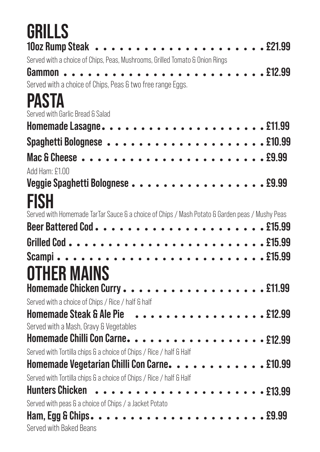| GRILLS                                                                                         |  |
|------------------------------------------------------------------------------------------------|--|
|                                                                                                |  |
| Served with a choice of Chips, Peas, Mushrooms, Grilled Tomato & Onion Rings                   |  |
|                                                                                                |  |
| Served with a choice of Chips, Peas & two free range Eggs.                                     |  |
| PASTA                                                                                          |  |
| Served with Garlic Bread & Salad                                                               |  |
|                                                                                                |  |
|                                                                                                |  |
|                                                                                                |  |
| Add Ham: £1.00                                                                                 |  |
|                                                                                                |  |
| <b>FISH</b>                                                                                    |  |
| Served with Homemade TarTar Sauce & a choice of Chips / Mash Potato & Garden peas / Mushy Peas |  |
|                                                                                                |  |
|                                                                                                |  |
|                                                                                                |  |
|                                                                                                |  |
| <b>OTHER MAINS</b>                                                                             |  |
|                                                                                                |  |
| Served with a choice of Chips / Rice / half & half                                             |  |
| Homemade Steak & Ale Pie 212.99<br>Served with a Mash, Gravy & Vegetables                      |  |
| Homemade Chilli Con Carne. 212.99                                                              |  |
| Served with Tortilla chips & a choice of Chips / Rice / half & Half                            |  |
| Homemade Vegetarian Chilli Con Carne. 10.99                                                    |  |
| Served with Tortilla chips & a choice of Chips / Rice / half & Half                            |  |
|                                                                                                |  |
| Served with peas & a choice of Chips / a Jacket Potato                                         |  |
|                                                                                                |  |
| Served with Baked Beans                                                                        |  |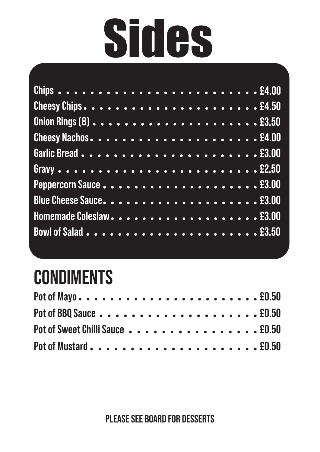# **Sides**

#### **CONDIMENTS**

| Pot of Sweet Chilli Sauce 20.50 |  |
|---------------------------------|--|
|                                 |  |

Please see board for Desserts